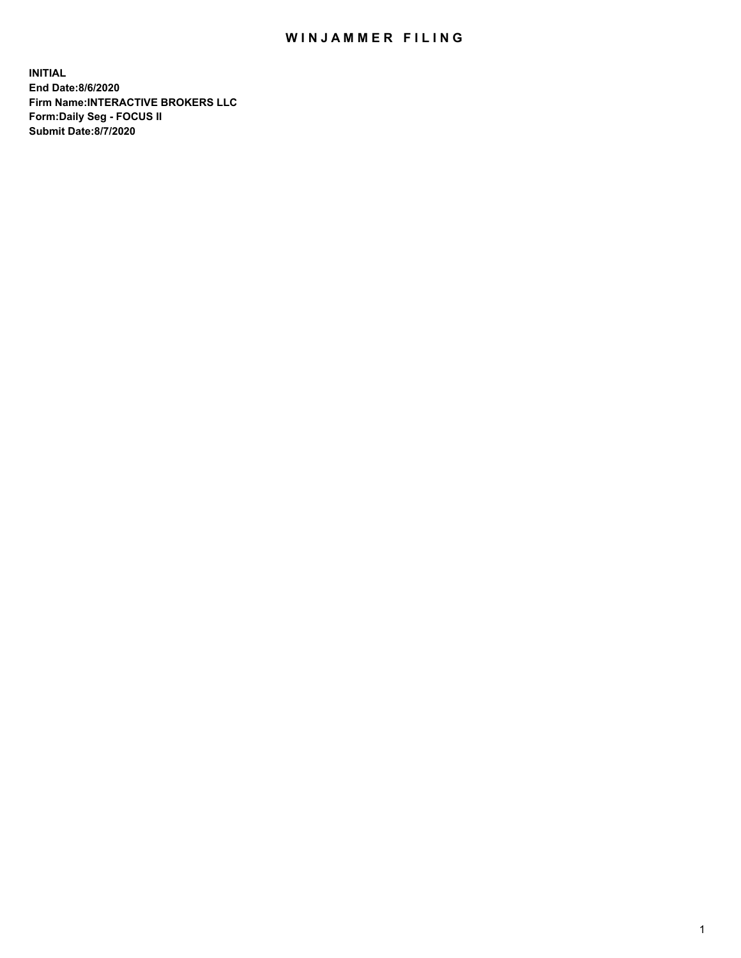## WIN JAMMER FILING

**INITIAL End Date:8/6/2020 Firm Name:INTERACTIVE BROKERS LLC Form:Daily Seg - FOCUS II Submit Date:8/7/2020**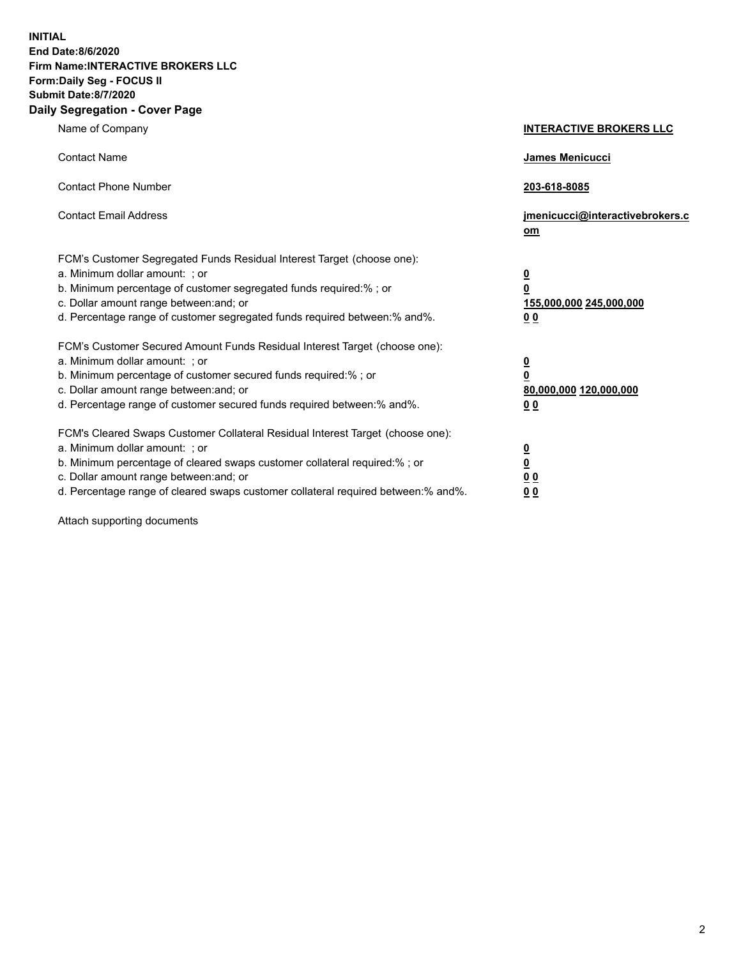**INITIAL End Date:8/6/2020 Firm Name:INTERACTIVE BROKERS LLC Form:Daily Seg - FOCUS II Submit Date:8/7/2020 Daily Segregation - Cover Page**

| Name of Company                                                                                                                                                                                                                                                                                                                | <b>INTERACTIVE BROKERS LLC</b>                                                                 |
|--------------------------------------------------------------------------------------------------------------------------------------------------------------------------------------------------------------------------------------------------------------------------------------------------------------------------------|------------------------------------------------------------------------------------------------|
| <b>Contact Name</b>                                                                                                                                                                                                                                                                                                            | James Menicucci                                                                                |
| <b>Contact Phone Number</b>                                                                                                                                                                                                                                                                                                    | 203-618-8085                                                                                   |
| <b>Contact Email Address</b>                                                                                                                                                                                                                                                                                                   | jmenicucci@interactivebrokers.c<br>om                                                          |
| FCM's Customer Segregated Funds Residual Interest Target (choose one):<br>a. Minimum dollar amount: ; or<br>b. Minimum percentage of customer segregated funds required:% ; or<br>c. Dollar amount range between: and; or<br>d. Percentage range of customer segregated funds required between: % and %.                       | $\overline{\mathbf{0}}$<br>$\overline{\mathbf{0}}$<br>155,000,000 245,000,000<br><u>00</u>     |
| FCM's Customer Secured Amount Funds Residual Interest Target (choose one):<br>a. Minimum dollar amount: ; or<br>b. Minimum percentage of customer secured funds required:%; or<br>c. Dollar amount range between: and; or<br>d. Percentage range of customer secured funds required between:% and%.                            | $\overline{\mathbf{0}}$<br>$\overline{\mathbf{0}}$<br>80,000,000 120,000,000<br>0 <sub>0</sub> |
| FCM's Cleared Swaps Customer Collateral Residual Interest Target (choose one):<br>a. Minimum dollar amount: ; or<br>b. Minimum percentage of cleared swaps customer collateral required:% ; or<br>c. Dollar amount range between: and; or<br>d. Percentage range of cleared swaps customer collateral required between:% and%. | $\frac{0}{0}$<br>$\underline{0}$ $\underline{0}$<br>0 <sub>0</sub>                             |

Attach supporting documents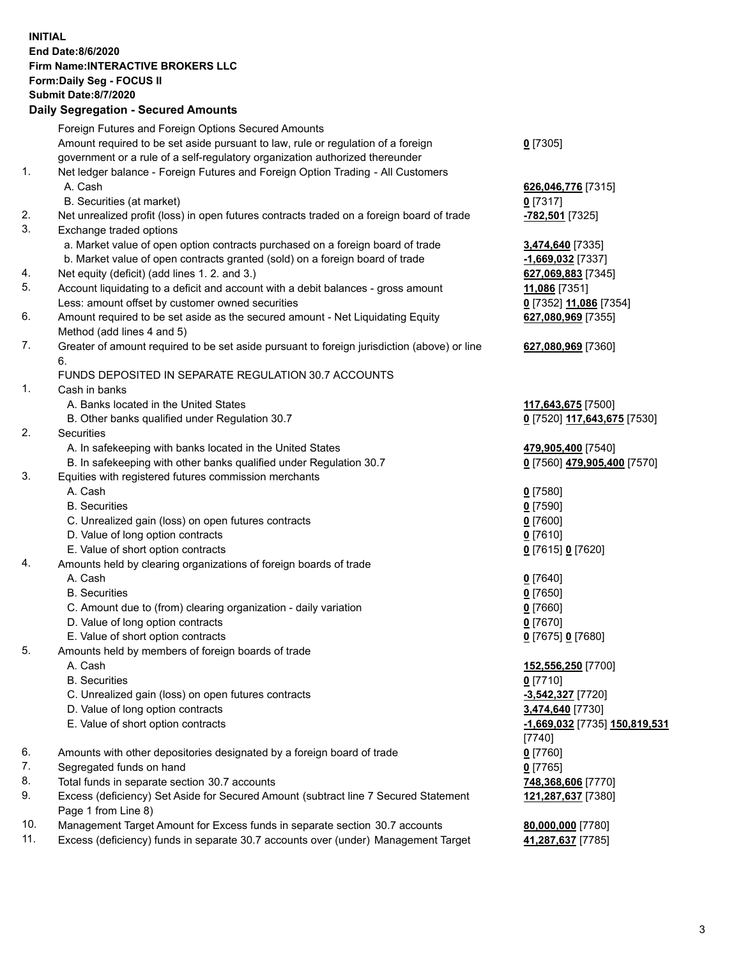## **INITIAL End Date:8/6/2020 Firm Name:INTERACTIVE BROKERS LLC Form:Daily Seg - FOCUS II Submit Date:8/7/2020 Daily Segregation - Secured Amounts**

|     | Dany Ocgregation - Oceanea Anioanta                                                                        |                                      |
|-----|------------------------------------------------------------------------------------------------------------|--------------------------------------|
|     | Foreign Futures and Foreign Options Secured Amounts                                                        |                                      |
|     | Amount required to be set aside pursuant to law, rule or regulation of a foreign                           | $0$ [7305]                           |
|     | government or a rule of a self-regulatory organization authorized thereunder                               |                                      |
| 1.  | Net ledger balance - Foreign Futures and Foreign Option Trading - All Customers                            |                                      |
|     | A. Cash                                                                                                    | 626,046,776 [7315]                   |
|     | B. Securities (at market)                                                                                  | $0$ [7317]                           |
| 2.  | Net unrealized profit (loss) in open futures contracts traded on a foreign board of trade                  | -782,501 [7325]                      |
| 3.  | Exchange traded options                                                                                    |                                      |
|     | a. Market value of open option contracts purchased on a foreign board of trade                             | 3,474,640 [7335]                     |
|     | b. Market value of open contracts granted (sold) on a foreign board of trade                               | $-1,669,032$ [7337]                  |
| 4.  | Net equity (deficit) (add lines 1. 2. and 3.)                                                              | 627,069,883 [7345]                   |
| 5.  | Account liquidating to a deficit and account with a debit balances - gross amount                          | 11,086 [7351]                        |
|     | Less: amount offset by customer owned securities                                                           | 0 [7352] 11,086 [7354]               |
| 6.  | Amount required to be set aside as the secured amount - Net Liquidating Equity                             | 627,080,969 [7355]                   |
|     | Method (add lines 4 and 5)                                                                                 |                                      |
| 7.  | Greater of amount required to be set aside pursuant to foreign jurisdiction (above) or line                | 627,080,969 [7360]                   |
|     | 6.                                                                                                         |                                      |
|     | FUNDS DEPOSITED IN SEPARATE REGULATION 30.7 ACCOUNTS                                                       |                                      |
| 1.  | Cash in banks                                                                                              |                                      |
|     | A. Banks located in the United States                                                                      | 117,643,675 [7500]                   |
|     | B. Other banks qualified under Regulation 30.7                                                             | 0 [7520] 117,643,675 [7530]          |
| 2.  | Securities                                                                                                 |                                      |
|     | A. In safekeeping with banks located in the United States                                                  | 479,905,400 [7540]                   |
|     | B. In safekeeping with other banks qualified under Regulation 30.7                                         | 0 [7560] 479,905,400 [7570]          |
| 3.  | Equities with registered futures commission merchants                                                      |                                      |
|     | A. Cash                                                                                                    | $0$ [7580]                           |
|     | <b>B.</b> Securities                                                                                       | $0$ [7590]                           |
|     | C. Unrealized gain (loss) on open futures contracts                                                        | $0$ [7600]                           |
|     | D. Value of long option contracts                                                                          | $0$ [7610]                           |
|     | E. Value of short option contracts                                                                         | 0 [7615] 0 [7620]                    |
| 4.  | Amounts held by clearing organizations of foreign boards of trade                                          |                                      |
|     | A. Cash                                                                                                    | $0$ [7640]                           |
|     | <b>B.</b> Securities                                                                                       | $0$ [7650]                           |
|     | C. Amount due to (from) clearing organization - daily variation                                            | $0$ [7660]                           |
|     | D. Value of long option contracts                                                                          | $0$ [7670]                           |
|     | E. Value of short option contracts                                                                         | 0 [7675] 0 [7680]                    |
| 5.  | Amounts held by members of foreign boards of trade                                                         |                                      |
|     | A. Cash                                                                                                    | 152,556,250 [7700]                   |
|     | <b>B.</b> Securities                                                                                       | $0$ [7710]                           |
|     | C. Unrealized gain (loss) on open futures contracts                                                        | -3,542,327 [7720]                    |
|     | D. Value of long option contracts                                                                          | 3,474,640 [7730]                     |
|     | E. Value of short option contracts                                                                         | <u>-1,669,032</u> [7735] 150,819,531 |
|     |                                                                                                            | [7740]                               |
| 6.  | Amounts with other depositories designated by a foreign board of trade                                     | $0$ [7760]                           |
| 7.  | Segregated funds on hand                                                                                   | $0$ [7765]                           |
| 8.  | Total funds in separate section 30.7 accounts                                                              | 748,368,606 [7770]                   |
| 9.  | Excess (deficiency) Set Aside for Secured Amount (subtract line 7 Secured Statement<br>Page 1 from Line 8) | 121,287,637 [7380]                   |
| 10. | Management Target Amount for Excess funds in separate section 30.7 accounts                                | 80,000,000 [7780]                    |
| 11. | Excess (deficiency) funds in separate 30.7 accounts over (under) Management Target                         | 41,287,637 [7785]                    |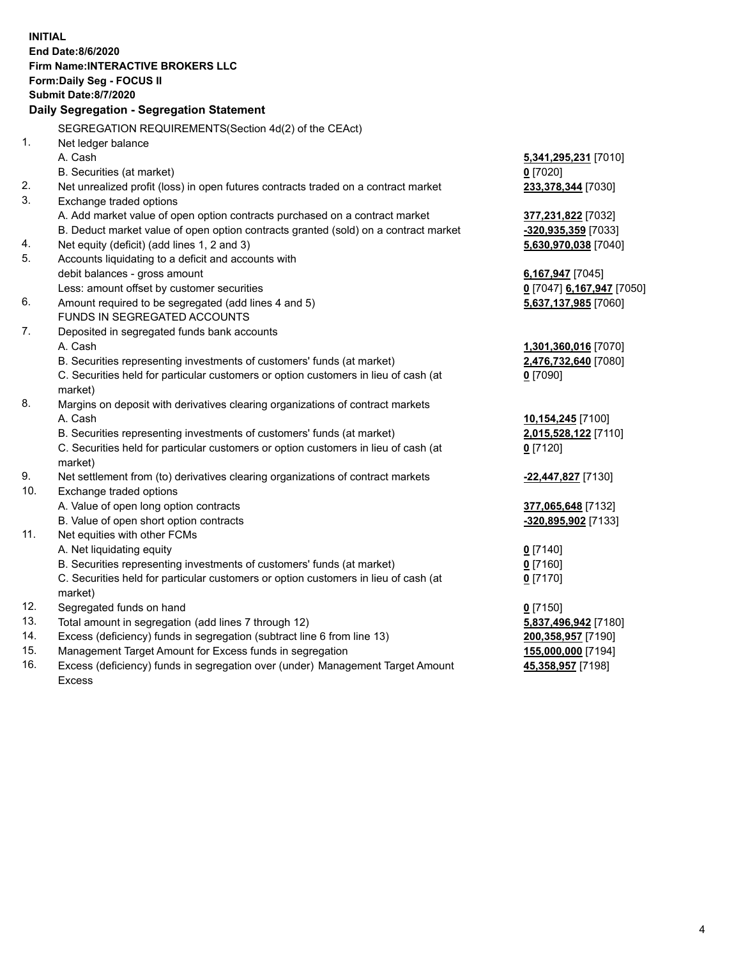**INITIAL End Date:8/6/2020 Firm Name:INTERACTIVE BROKERS LLC Form:Daily Seg - FOCUS II Submit Date:8/7/2020 Daily Segregation - Segregation Statement** SEGREGATION REQUIREMENTS(Section 4d(2) of the CEAct) 1. Net ledger balance A. Cash **5,341,295,231** [7010] B. Securities (at market) **0** [7020] 2. Net unrealized profit (loss) in open futures contracts traded on a contract market **233,378,344** [7030] 3. Exchange traded options A. Add market value of open option contracts purchased on a contract market **377,231,822** [7032] B. Deduct market value of open option contracts granted (sold) on a contract market **-320,935,359** [7033] 4. Net equity (deficit) (add lines 1, 2 and 3) **5,630,970,038** [7040] 5. Accounts liquidating to a deficit and accounts with debit balances - gross amount **6,167,947** [7045] Less: amount offset by customer securities **0** [7047] **6,167,947** [7050] 6. Amount required to be segregated (add lines 4 and 5) **5,637,137,985** [7060] FUNDS IN SEGREGATED ACCOUNTS 7. Deposited in segregated funds bank accounts A. Cash **1,301,360,016** [7070] B. Securities representing investments of customers' funds (at market) **2,476,732,640** [7080] C. Securities held for particular customers or option customers in lieu of cash (at market) **0** [7090] 8. Margins on deposit with derivatives clearing organizations of contract markets A. Cash **10,154,245** [7100] B. Securities representing investments of customers' funds (at market) **2,015,528,122** [7110] C. Securities held for particular customers or option customers in lieu of cash (at market) **0** [7120] 9. Net settlement from (to) derivatives clearing organizations of contract markets **-22,447,827** [7130] 10. Exchange traded options A. Value of open long option contracts **377,065,648** [7132] B. Value of open short option contracts **-320,895,902** [7133] 11. Net equities with other FCMs A. Net liquidating equity **0** [7140] B. Securities representing investments of customers' funds (at market) **0** [7160] C. Securities held for particular customers or option customers in lieu of cash (at market) **0** [7170] 12. Segregated funds on hand **0** [7150] 13. Total amount in segregation (add lines 7 through 12) **5,837,496,942** [7180] 14. Excess (deficiency) funds in segregation (subtract line 6 from line 13) **200,358,957** [7190] 15. Management Target Amount for Excess funds in segregation **155,000,000** [7194] 16. Excess (deficiency) funds in segregation over (under) Management Target Amount Excess **45,358,957** [7198]